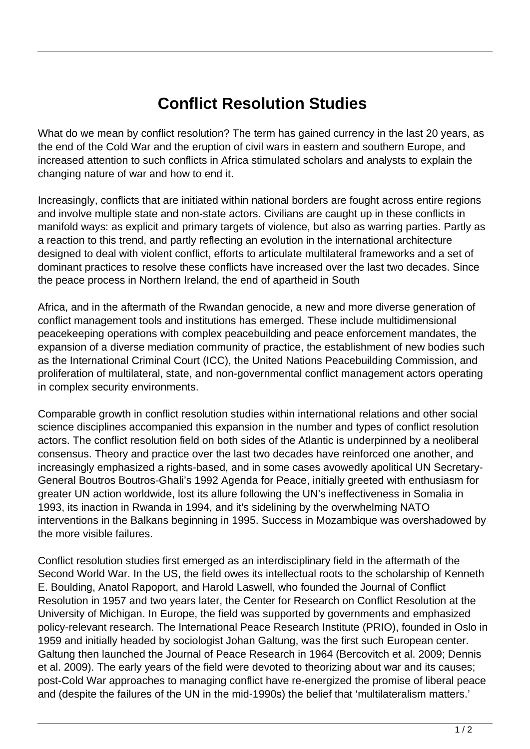## **Conflict Resolution Studies**

What do we mean by conflict resolution? The term has gained currency in the last 20 years, as the end of the Cold War and the eruption of civil wars in eastern and southern Europe, and increased attention to such conflicts in Africa stimulated scholars and analysts to explain the changing nature of war and how to end it.

Increasingly, conflicts that are initiated within national borders are fought across entire regions and involve multiple state and non-state actors. Civilians are caught up in these conflicts in manifold ways: as explicit and primary targets of violence, but also as warring parties. Partly as a reaction to this trend, and partly reflecting an evolution in the international architecture designed to deal with violent conflict, efforts to articulate multilateral frameworks and a set of dominant practices to resolve these conflicts have increased over the last two decades. Since the peace process in Northern Ireland, the end of apartheid in South

Africa, and in the aftermath of the Rwandan genocide, a new and more diverse generation of conflict management tools and institutions has emerged. These include multidimensional peacekeeping operations with complex peacebuilding and peace enforcement mandates, the expansion of a diverse mediation community of practice, the establishment of new bodies such as the International Criminal Court (ICC), the United Nations Peacebuilding Commission, and proliferation of multilateral, state, and non-governmental conflict management actors operating in complex security environments.

Comparable growth in conflict resolution studies within international relations and other social science disciplines accompanied this expansion in the number and types of conflict resolution actors. The conflict resolution field on both sides of the Atlantic is underpinned by a neoliberal consensus. Theory and practice over the last two decades have reinforced one another, and increasingly emphasized a rights-based, and in some cases avowedly apolitical UN Secretary-General Boutros Boutros-Ghali's 1992 Agenda for Peace, initially greeted with enthusiasm for greater UN action worldwide, lost its allure following the UN's ineffectiveness in Somalia in 1993, its inaction in Rwanda in 1994, and it's sidelining by the overwhelming NATO interventions in the Balkans beginning in 1995. Success in Mozambique was overshadowed by the more visible failures.

Conflict resolution studies first emerged as an interdisciplinary field in the aftermath of the Second World War. In the US, the field owes its intellectual roots to the scholarship of Kenneth E. Boulding, Anatol Rapoport, and Harold Laswell, who founded the Journal of Conflict Resolution in 1957 and two years later, the Center for Research on Conflict Resolution at the University of Michigan. In Europe, the field was supported by governments and emphasized policy-relevant research. The International Peace Research Institute (PRIO), founded in Oslo in 1959 and initially headed by sociologist Johan Galtung, was the first such European center. Galtung then launched the Journal of Peace Research in 1964 (Bercovitch et al. 2009; Dennis et al. 2009). The early years of the field were devoted to theorizing about war and its causes; post-Cold War approaches to managing conflict have re-energized the promise of liberal peace and (despite the failures of the UN in the mid-1990s) the belief that 'multilateralism matters.'